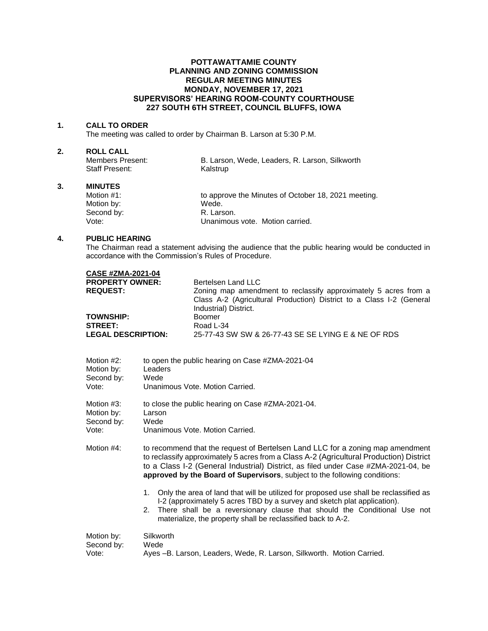## **POTTAWATTAMIE COUNTY PLANNING AND ZONING COMMISSION REGULAR MEETING MINUTES MONDAY, NOVEMBER 17, 2021 SUPERVISORS' HEARING ROOM-COUNTY COURTHOUSE 227 SOUTH 6TH STREET, COUNCIL BLUFFS, IOWA**

## **1. CALL TO ORDER**

The meeting was called to order by Chairman B. Larson at 5:30 P.M.

# **2. ROLL CALL**

| Members Present: | B. Larson, Wede, Leaders, R. Larson, Silkworth |
|------------------|------------------------------------------------|
| Staff Present:   | Kalstrup                                       |

#### **3. MINUTES**

| Motion #1: | to approve the Minutes of October 18, 2021 meeting. |
|------------|-----------------------------------------------------|
| Motion by: | Wede.                                               |
| Second by: | R. Larson.                                          |
| Vote:      | Unanimous vote. Motion carried.                     |

## **4. PUBLIC HEARING**

The Chairman read a statement advising the audience that the public hearing would be conducted in accordance with the Commission's Rules of Procedure.

| <b>CASE #ZMA-2021-04</b>  |                                                                                                                                                                  |
|---------------------------|------------------------------------------------------------------------------------------------------------------------------------------------------------------|
| <b>PROPERTY OWNER:</b>    | Bertelsen Land LLC                                                                                                                                               |
| <b>REQUEST:</b>           | Zoning map amendment to reclassify approximately 5 acres from a<br>Class A-2 (Agricultural Production) District to a Class I-2 (General<br>Industrial) District. |
| <b>TOWNSHIP:</b>          | Boomer                                                                                                                                                           |
| <b>STREET:</b>            | Road L-34                                                                                                                                                        |
| <b>LEGAL DESCRIPTION:</b> | 25-77-43 SW SW & 26-77-43 SE SE LYING E & NE OF RDS                                                                                                              |

| Motion #2: | to open the public hearing on Case #ZMA-2021-04                                                                                                                                                                                                                                                                                               |  |
|------------|-----------------------------------------------------------------------------------------------------------------------------------------------------------------------------------------------------------------------------------------------------------------------------------------------------------------------------------------------|--|
| Motion by: | Leaders                                                                                                                                                                                                                                                                                                                                       |  |
| Second by: | Wede                                                                                                                                                                                                                                                                                                                                          |  |
| Vote:      | Unanimous Vote, Motion Carried.                                                                                                                                                                                                                                                                                                               |  |
| Motion #3: | to close the public hearing on Case #ZMA-2021-04.                                                                                                                                                                                                                                                                                             |  |
| Motion by: | Larson                                                                                                                                                                                                                                                                                                                                        |  |
| Second by: | Wede                                                                                                                                                                                                                                                                                                                                          |  |
| Vote:      | Unanimous Vote, Motion Carried.                                                                                                                                                                                                                                                                                                               |  |
| Motion #4: | to recommend that the request of Bertelsen Land LLC for a zoning map amendment<br>to reclassify approximately 5 acres from a Class A-2 (Agricultural Production) District<br>to a Class I-2 (General Industrial) District, as filed under Case #ZMA-2021-04, be<br>approved by the Board of Supervisors, subject to the following conditions: |  |
|            | Only the area of land that will be utilized for proposed use shall be reclassified as<br>1.<br>I-2 (approximately 5 acres TBD by a survey and sketch plat application).<br>2. There shall be a reversionary clause that should the Conditional Use not<br>materialize, the property shall be reclassified back to A-2.                        |  |
| Motion by: | Silkworth                                                                                                                                                                                                                                                                                                                                     |  |
| Second by: | Wede                                                                                                                                                                                                                                                                                                                                          |  |
| Vote:      | Ayes -B. Larson, Leaders, Wede, R. Larson, Silkworth. Motion Carried.                                                                                                                                                                                                                                                                         |  |